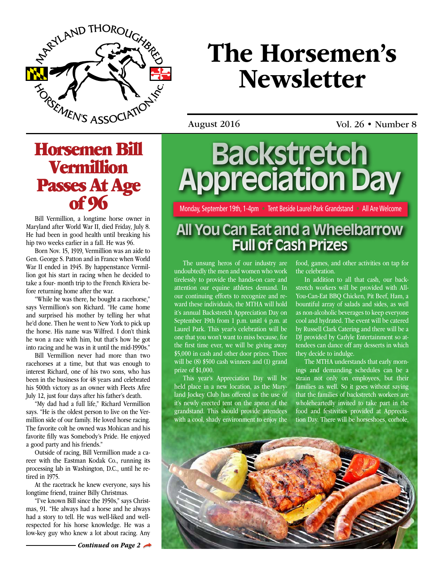

# The Horsemen's **Newsletter**

August 2016 Vol. 26 • Number 8

Horsemen Bill Vermillion **Passes At Age**<br>of 96

Bill Vermillion, a longtime horse owner in Maryland after World War II, died Friday, July 8. He had been in good health until breaking his hip two weeks earlier in a fall. He was 96.

Born Nov. 15, 1919, Vermillion was an aide to Gen. George S. Patton and in France when World War II ended in 1945. By happenstance Vermillion got his start in racing when he decided to take a four- month trip to the French Riviera before returning home after the war.

"While he was there, he bought a racehorse," says Vermillion's son Richard. "He came home and surprised his mother by telling her what he'd done. Then he went to New York to pick up the horse. His name was Wilfred. I don't think he won a race with him, but that's how he got into racing and he was in it until the mid-1990s."

Bill Vermillion never had more than two racehorses at a time, but that was enough to interest Richard, one of his two sons, who has been in the business for 48 years and celebrated his 500th victory as an owner with Fleets Afire July 12, just four days after his father's death.

"My dad had a full life," Richard Vermillion says. "He is the oldest person to live on the Vermillion side of our family. He loved horse racing. The favorite colt he owned was Mohican and his favorite filly was Somebody's Pride. He enjoyed a good party and his friends."

Outside of racing, Bill Vermillion made a career with the Eastman Kodak Co., running its processing lab in Washington, D.C., until he retired in 1975.

At the racetrack he knew everyone, says his longtime friend, trainer Billy Christmas.

"I've known Bill since the 1950s," says Christmas, 91. "He always had a horse and he always had a story to tell. He was well-liked and wellrespected for his horse knowledge. He was a low-key guy who knew a lot about racing. Any

**Backstretch Appreciation Day**

Monday, September 19th, 1-4pm • Tent Beside Laurel Park Grandstand • All Are Welcome

## **All You Can Eat and a Wheelbarrow Full of Cash Prizes**

The unsung heros of our industry are undoubtedly the men and women who work tirelessly to provide the hands-on care and attention our equine athletes demand. In our continuing efforts to recognize and reward these individuals, the MTHA will hold it's annual Backstretch Appreciation Day on September 19th from 1 p.m. unitl 4 p.m. at Laurel Park. This year's celebration will be one that you won't want to miss because, for the first time ever, we will be giving away \$5,000 in cash and other door prizes. There will be  $(8)$  \$500 cash winners and  $(1)$  grand prize of \$1,000.

This year's Appreciation Day will be held place in a new location, as the Maryland Jockey Club has offered us the use of it's newly erected tent on the apron of the grandstand. This should provide attendees with a cool, shady environment to enjoy the

food, games, and other activities on tap for the celebration.

In addition to all that cash, our backstretch workers will be provided with All-You-Can-Eat BBQ Chicken, Pit Beef, Ham, a bountiful array of salads and sides, as well as non-alcoholic beverages to keep everyone cool and hydrated. The event will be catered by Russell Clark Catering and there will be a DJ provided by Carlyle Entertainment so attendees can dance off any desserts in which they decide to indulge.

The MTHA understands that early mornings and demanding schedules can be a strain not only on employees, but their families as well. So it goes without saying that the families of backstretch workers are wholeheartedly invited to take part in the food and festivities provided at Appreciation Day. There will be horseshoes, corhole,

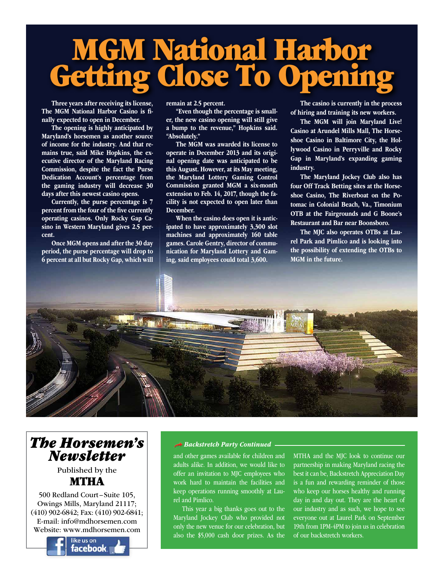# MGM National Harbor Getting Close To Opening

Three years after receiving its license, The MGM National Harbor Casino is finally expected to open in December.

The opening is highly anticipated by Maryland's horsemen as another source of income for the industry. And that remains true, said Mike Hopkins, the executive director of the Maryland Racing Commission, despite the fact the Purse Dedication Account's percentage from the gaming industry will decrease 30 days after this newest casino opens.

Currently, the purse percentage is 7 percent from the four of the five currently operating casinos. Only Rocky Gap Casino in Western Maryland gives 2.5 percent.

Once MGM opens and after the 30 day period, the purse percentage will drop to 6 percent at all but Rocky Gap, which will remain at 2.5 percent.

"Even though the percentage is smaller, the new casino opening will still give a bump to the revenue," Hopkins said. "Absolutely."

The MGM was awarded its license to operate in December 2013 and its original opening date was anticipated to be this August. However, at its May meeting, the Maryland Lottery Gaming Control Commission granted MGM a six-month extension to Feb. 14, 2017, though the facility is not expected to open later than December.

When the casino does open it is anticipated to have approximately 3,300 slot machines and approximately 160 table games. Carole Gentry, director of communication for Maryland Lottery and Gaming, said employees could total 3,600.

The casino is currently in the process of hiring and training its new workers.

The MGM will join Maryland Live! Casino at Arundel Mills Mall, The Horseshoe Casino in Baltimore City, the Hollywood Casino in Perryville and Rocky Gap in Maryland's expanding gaming industry.

The Maryland Jockey Club also has four Off Track Betting sites at the Horseshoe Casino, The Riverboat on the Potomac in Colonial Beach, Va., Timonium OTB at the Fairgrounds and G Boone's Restaurant and Bar near Boonsboro.

The MJC also operates OTBs at Laurel Park and Pimlico and is looking into the possibility of extending the OTBs to MGM in the future.



## *[The Horsemen's](https://www.facebook.com/mdhorsemen) Newsletter*

#### Published by the MTHA

500 Redland Court–Suite 105, Owings Mills, Maryland 21117; (410) 902-6842; Fax: (410) 902-6841; E-mail: info@mdhorsemen.com Website: www.mdhorsemen.com



#### *Backstretch Party Continued*

and other games available for children and adults alike. In addition, we would like to offer an invitation to MJC employees who work hard to maintain the facilities and keep operations running smoothly at Laurel and Pimlico.

This year a big thanks goes out to the Maryland Jockey Club who provided not only the new venue for our celebration, but also the \$5,000 cash door prizes. As the

MTHA and the MJC look to continue our partnership in making Maryland racing the best it can be, Backstretch Appreciation Day is a fun and rewarding reminder of those who keep our horses healthy and running day in and day out. They are the heart of our industry and as such, we hope to see everyone out at Laurel Park on September 19th from 1PM-4PM to join us in celebration of our backstretch workers.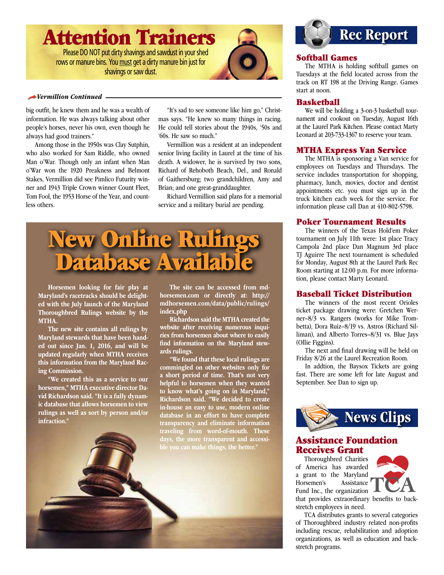

rows or manure bins. You must get a dirty manure bin just for shavings or saw dust.



#### *Vermillion Continued*

big outfit, he knew them and he was a wealth of information. He was always talking about other people's horses, never his own, even though he always had good trainers."

Among those in the 1950s was Clay Sutphin, who also worked for Sam Riddle, who owned Man o'War. Though only an infant when Man o'War won the 1920 Preakness and Belmont Stakes, Vermillion did see Pimlico Futurity winner and 1943 Triple Crown winner Count Fleet, Tom Fool, the 1953 Horse of the Year, and countless others.

"It's sad to see someone like him go," Christmas says. "He knew so many things in racing. He could tell stories about the 1940s, '50s and '60s. He saw so much."

Vermillion was a resident at an independent senior living facility in Laurel at the time of his death. A widower, he is survived by two sons, Richard of Rehoboth Beach, Del., and Ronald of Gaithersburg; two grandchildren, Amy and Brian; and one great-granddaughter.

Richard Vermillion said plans for a memorial service and a military burial are pending.



Horsemen looking for fair play at Maryland's racetracks should be delighted with the July launch of the Maryland Thoroughbred Rulings website by the MTHA.

The new site contains all rulings by Maryland stewards that have been handed out since Jan. 1, 2016, and will be updated regularly when MTHA receives this information from the Maryland Racing Commission.

"We created this as a service to our horsemen," MTHA executive director David Richardson said. "It is a fully dynamic database that allows horsemen to view rulings as well as sort by person and/or infraction."

The site can be accessed from mdhorsemen.com or directly at: http:// mdhorsemen.com/data/public/rulings/ index.php

Richardson said the MTHA created the website after receiving numerous inquiries from horsemen about where to easily find information on the Maryland stewards rulings.

"We found that these local rulings are commingled on other websites only for a short period of time. That's not very helpful to horsemen when they wanted to know what's going on in Maryland," Richardson said. "We decided to create in-house an easy to use, modern online database in an effort to have complete transparency and eliminate information traveling from word-of-mouth. These





#### Softball Games

The MTHA is holding softball games on Tuesdays at the field located across from the track on RT 198 at the Driving Range. Games start at noon.

#### Basketball

We will be holding a 3-on-3 basketball tournament and cookout on Tuesday, August 16th at the Laurel Park Kitchen. Please contact Marty Leonard at 203-733-1367 to reserve your team.

#### MTHA Express Van Service

The MTHA is sponsoring a Van service for employees on Tuesdays and Thursdays. The service includes transportation for shopping, pharmacy, lunch, movies, doctor and dentist appointments etc. you must sign up in the truck kitchen each week for the service. For information please call Dan at 410-802-5798.

#### Poker Tournament Results

The winners of the Texas Hold'em Poker tournament on July 11th were: 1st place Tracy Campola 2nd place Dan Magnum 3rd place TJ Aguirre The next tournament is scheduled for Monday, August 8th at the Laurel Park Rec Room starting at 12:00 p.m. For more information, please contact Marty Leonard.

#### Baseball Ticket Distribution

The winners of the most recent Orioles ticket package drawing were: Gretchen Werner–8/3 vs. Rangers (works for Mike Trombetta), Dora Ruiz–8/19 vs. Astros (Richard Silliman), and Alberto Torres–8/31 vs. Blue Jays (Ollie Figgins).

The next and final drawing will be held on Friday 8/26 at the Laurel Recreation Room.

In addtion, the Baysox Tickets are going fast. There are some left for late August and September. See Dan to sign up.



#### Assistance Foundation Receives Grant

Thoroughbred Charities of America has awarded a grant to the Maryland Horsemen's Assistance Fund Inc., the organization that provides extraordinary benefits to back-



stretch employees in need.

TCA distributes grants to several categories of Thoroughbred industry related non-profits including rescue, rehabilitation and adoption organizations, as well as education and backstretch programs.